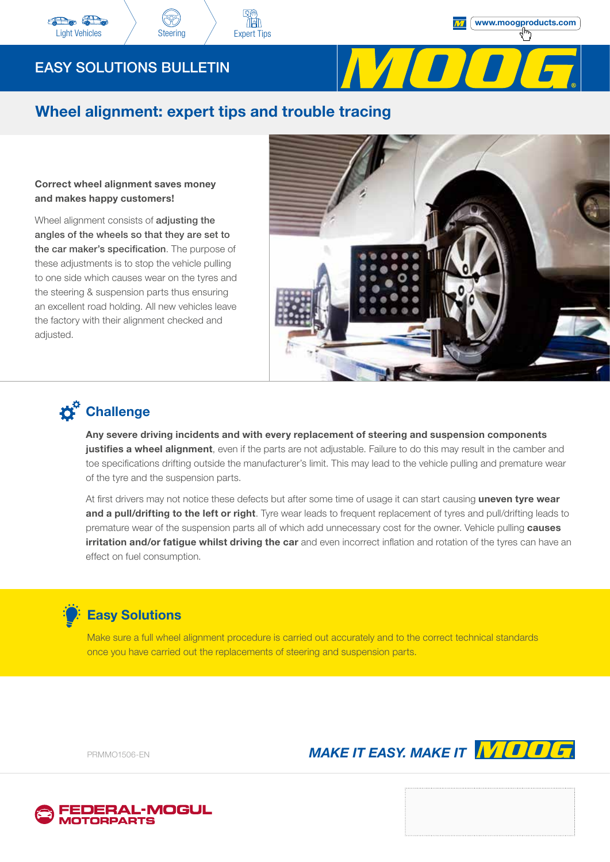

### Wheel alignment: expert tips and trouble tracing

### Correct wheel alignment saves money and makes happy customers!

Wheel alignment consists of **adjusting the** angles of the wheels so that they are set to the car maker's specification. The purpose of these adjustments is to stop the vehicle pulling to one side which causes wear on the tyres and the steering & suspension parts thus ensuring an excellent road holding. All new vehicles leave the factory with their alignment checked and adjusted.



# **D**<sup>G</sup> Challenge

Any severe driving incidents and with every replacement of steering and suspension components justifies a wheel alignment, even if the parts are not adjustable. Failure to do this may result in the camber and toe specifications drifting outside the manufacturer's limit. This may lead to the vehicle pulling and premature wear of the tyre and the suspension parts.

At first drivers may not notice these defects but after some time of usage it can start causing uneven tyre wear and a pull/drifting to the left or right. Tyre wear leads to frequent replacement of tyres and pull/drifting leads to premature wear of the suspension parts all of which add unnecessary cost for the owner. Vehicle pulling causes irritation and/or fatigue whilst driving the car and even incorrect inflation and rotation of the tyres can have an effect on fuel consumption.

### Easy Solutions

Make sure a full wheel alignment procedure is carried out accurately and to the correct technical standards once you have carried out the replacements of steering and suspension parts.

PRMMO1506-EN